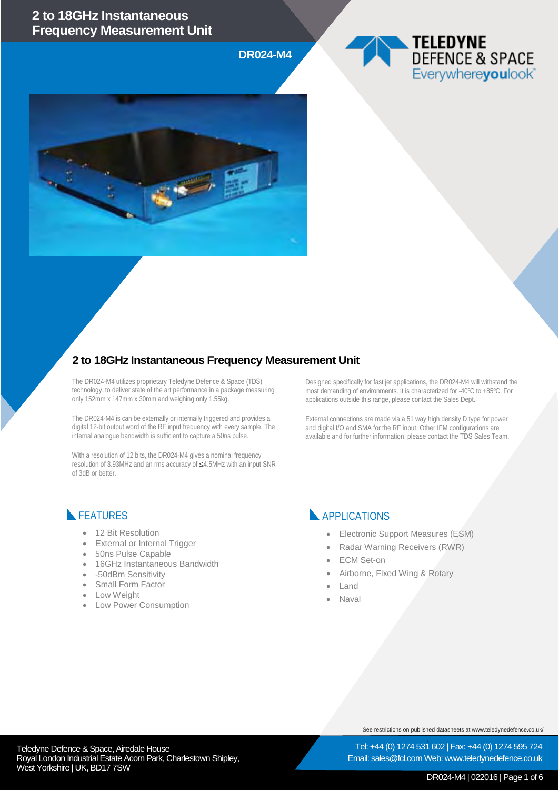#### **2 to 18GHz Instantaneous Frequency Measurement Unit**

**DR024-M4**





### **2 to 18GHz Instantaneous Frequency Measurement Unit**

The DR024-M4 utilizes proprietary Teledyne Defence & Space (TDS) technology, to deliver state of the art performance in a package measuring only 152mm x 147mm x 30mm and weighing only 1.55kg.

The DR024-M4 is can be externally or internally triggered and provides a digital 12-bit output word of the RF input frequency with every sample. The internal analogue bandwidth is sufficient to capture a 50ns pulse.

With a resolution of 12 bits, the DR024-M4 gives a nominal frequency resolution of 3.93MHz and an rms accuracy of ≤4.5MHz with an input SNR of 3dB or better.

Designed specifically for fast jet applications, the DR024-M4 will withstand the most demanding of environments. It is characterized for -40ºC to +85ºC. For applications outside this range, please contact the Sales Dept.

External connections are made via a 51 way high density D type for power and digital I/O and SMA for the RF input. Other IFM configurations are available and for further information, please contact the TDS Sales Team.

### **FEATURES**

- 12 Bit Resolution
- **External or Internal Trigger**
- 50ns Pulse Capable
- 16GHz Instantaneous Bandwidth
- -50dBm Sensitivity
- Small Form Factor
- **Low Weight**
- Low Power Consumption

**APPLICATIONS** 

- Electronic Support Measures (ESM)
- Radar Warning Receivers (RWR)
- **ECM** Set-on
- Airborne, Fixed Wing & Rotary
- Land
	- Naval

See restrictions on published datasheets at www.teledynedefence.co.uk/

Tel: +44 (0) 1274 531 602 | Fax: +44 (0) 1274 595 724 Email: sales@fcl.com Web: www.teledynedefence.co.uk

#### Teledyne Defence & Space, Airedale House and the state of the state of the Tel: +44 (0) 1274 531 Royal London Industrial Estate Acorn Park, Charlestown Shipley, West Yorkshire | UK, BD17 7SW

DR024-M4 | 022016 | Page 1 of 6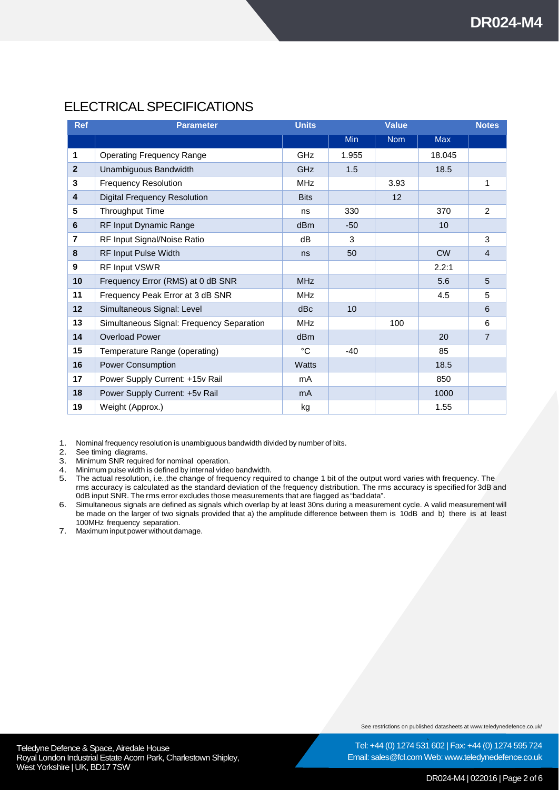## ELECTRICAL SPECIFICATIONS

| <b>Ref</b>     | <b>Parameter</b>                          | <b>Units</b>    |       | <b>Value</b> |            | <b>Notes</b>   |
|----------------|-------------------------------------------|-----------------|-------|--------------|------------|----------------|
|                |                                           |                 | Min   | <b>Nom</b>   | <b>Max</b> |                |
| 1              | <b>Operating Frequency Range</b>          | <b>GHz</b>      | 1.955 |              | 18.045     |                |
| $\overline{2}$ | Unambiguous Bandwidth                     | <b>GHz</b>      | 1.5   |              | 18.5       |                |
| 3              | <b>Frequency Resolution</b>               | <b>MHz</b>      |       | 3.93         |            | 1              |
| 4              | <b>Digital Frequency Resolution</b>       | <b>Bits</b>     |       | 12           |            |                |
| 5              | Throughput Time                           | ns              | 330   |              | 370        | $\overline{2}$ |
| 6              | RF Input Dynamic Range                    | d <sub>Bm</sub> | $-50$ |              | 10         |                |
| $\overline{7}$ | RF Input Signal/Noise Ratio               | dB              | 3     |              |            | 3              |
| 8              | RF Input Pulse Width                      | ns              | 50    |              | <b>CW</b>  | $\overline{4}$ |
| 9              | RF Input VSWR                             |                 |       |              | 2.2:1      |                |
| 10             | Frequency Error (RMS) at 0 dB SNR         | <b>MHz</b>      |       |              | 5.6        | 5              |
| 11             | Frequency Peak Error at 3 dB SNR          | <b>MHz</b>      |       |              | 4.5        | 5              |
| 12             | Simultaneous Signal: Level                | dBc             | 10    |              |            | 6              |
| 13             | Simultaneous Signal: Frequency Separation | <b>MHz</b>      |       | 100          |            | 6              |
| 14             | <b>Overload Power</b>                     | dB <sub>m</sub> |       |              | 20         | $\overline{7}$ |
| 15             | Temperature Range (operating)             | °C              | $-40$ |              | 85         |                |
| 16             | <b>Power Consumption</b>                  | <b>Watts</b>    |       |              | 18.5       |                |
| 17             | Power Supply Current: +15v Rail           | mA              |       |              | 850        |                |
| 18             | Power Supply Current: +5v Rail            | m <sub>A</sub>  |       |              | 1000       |                |
| 19             | Weight (Approx.)                          | kg              |       |              | 1.55       |                |

1. Nominal frequency resolution is unambiguous bandwidth divided by number of bits.

See timing diagrams.

3. Minimum SNR required for nominal operation.

4. Minimum pulse width is defined by internal video bandwidth.

5. The actual resolution, i.e.,the change of frequency required to change 1 bit of the output word varies with frequency. The rms accuracy is calculated as the standard deviation of the frequency distribution. The rms accuracy is specified for 3dB and 0dB input SNR. The rms error excludes those measurements that are flagged as "baddata".

6. Simultaneous signals are defined as signals which overlap by at least 30ns during a measurement cycle. A valid measurement will be made on the larger of two signals provided that a) the amplitude difference between them is 10dB and b) there is at least 100MHz frequency separation.

7. Maximum input power without damage.

See restrictions on published datasheets at www.teledynedefence.co.uk/

Tel: +44 (0) 1274 531 602 | Fax: +44 (0) 1274 595 724

Teledyne Defence & Space, Airedale House and the state of the state of the Tel: +44 (0) 1274 531 Royal London Industrial Estate Acorn Park, Charlestown Shipley, West Yorkshire | UK, BD17 7SW

Email: sales@fcl.com Web: www.teledynedefence.co.uk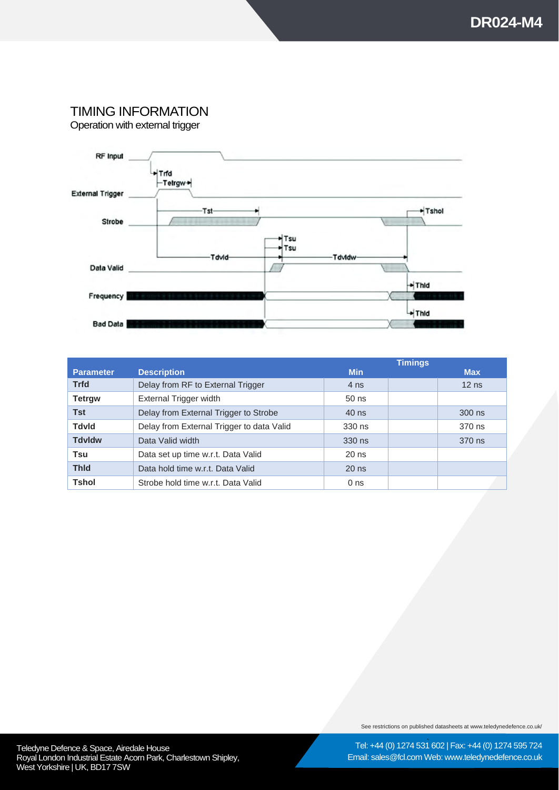# TIMING INFORMATION

Operation with external trigger



|                  |                                           |                 | <b>Timings</b> |            |
|------------------|-------------------------------------------|-----------------|----------------|------------|
| <b>Parameter</b> | <b>Description</b>                        | <b>Min</b>      |                | <b>Max</b> |
| <b>Trfd</b>      | Delay from RF to External Trigger         | 4 ns            |                | $12$ ns    |
| <b>Tetrgw</b>    | External Trigger width                    | $50$ ns         |                |            |
| <b>Tst</b>       | Delay from External Trigger to Strobe     | 40 ns           |                | 300 ns     |
| <b>Tdvld</b>     | Delay from External Trigger to data Valid | 330 ns          |                | 370 ns     |
| <b>Tdvldw</b>    | Data Valid width                          | 330 ns          |                | 370 ns     |
| Tsu              | Data set up time w.r.t. Data Valid        | $20$ ns         |                |            |
| <b>Thid</b>      | Data hold time w.r.t. Data Valid          | $20$ ns         |                |            |
| <b>Tshol</b>     | Strobe hold time w.r.t. Data Valid        | 0 <sub>ns</sub> |                |            |

See restrictions on published datasheets at www.teledynedefence.co.uk/

Tel: +44 (0) 1274 531 602 | Fax: +44 (0) 1274 595 724 Email: sales@fcl.com Web: www.teledynedefence.co.uk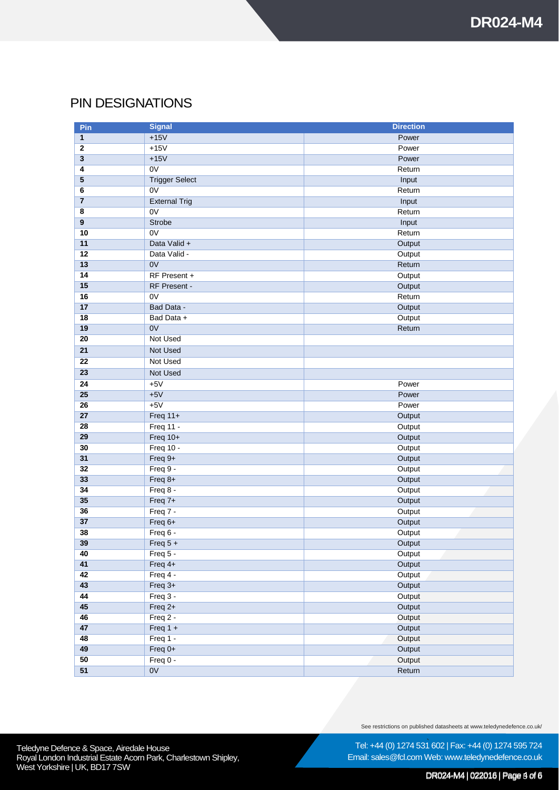## PIN DESIGNATIONS

| Pin                     | <b>Signal</b>         | <b>Direction</b> |
|-------------------------|-----------------------|------------------|
| 1                       | $+15V$                | Power            |
| $\mathbf{2}$            | $+15V$                | Power            |
| $\overline{\mathbf{3}}$ | $+15V$                | Power            |
| 4                       | $\overline{ov}$       | Return           |
| $5\phantom{.0}$         | <b>Trigger Select</b> | Input            |
| 6                       | 0V                    | Return           |
| $\overline{7}$          | <b>External Trig</b>  | Input            |
| 8                       | 0V                    | Return           |
| $\overline{9}$          | Strobe                | Input            |
| 10                      | 0V                    | Return           |
| 11                      | Data Valid +          | Output           |
| 12                      | Data Valid -          | Output           |
| 13                      | 0V                    | Return           |
| 14                      | RF Present +          | Output           |
| 15                      | RF Present -          | Output           |
| 16                      | 0V                    | Return           |
| 17                      | Bad Data -            | Output           |
| 18                      | Bad Data +            | Output           |
| 19                      | 0V                    | Return           |
| 20                      | <b>Not Used</b>       |                  |
| 21                      | <b>Not Used</b>       |                  |
| 22                      | <b>Not Used</b>       |                  |
| 23                      | <b>Not Used</b>       |                  |
| 24                      | $+5V$                 | Power            |
| $\overline{25}$         | $+5V$                 | Power            |
| 26                      | $+5V$                 | Power            |
| $\overline{27}$         | Freq $11+$            | Output           |
| $\overline{28}$         | <b>Freq 11 -</b>      | Output           |
| 29                      | Freq 10+              | Output           |
| 30                      | Freq 10 -             | Output           |
| 31                      | Freq 9+               | Output           |
| 32                      | Freq 9 -              | Output           |
| 33                      | Freq 8+               | Output           |
| 34                      | Freq 8 -              | Output           |
| 35                      | $Freq 7+$             | Output           |
| 36                      | Freq 7 -              | Output           |
| 37                      | Freq 6+               | Output           |
| 38                      | Freq 6 -              | Output           |
| 39                      | Freq $5 +$            | Output           |
| 40                      | Freq 5 -              | Output           |
| 41                      | Freq $4+$             | Output           |
| 42                      | Freq 4 -              | Output           |
| 43                      | $Freq$ 3+             | Output           |
| 44                      | Freq 3 -              | Output           |
| 45                      | Freq 2+               | Output           |
| 46                      | Freq 2 -              | Output           |
| 47                      | Freq $1 +$            | Output           |
| 48                      | Freq 1 -              | Output           |
| 49                      | Freq $0+$             | Output           |
| 50                      | Freq 0 -              | Output           |
| $\overline{51}$         | 0V                    | Return           |

See restrictions on published datasheets at www.teledynedefence.co.uk/

Tel: +44 (0) 1274 531 602 | Fax: +44 (0) 1274 595 724 Email: sales@fcl.com Web: www.teledynedefence.co.uk

#### DR024-M4 | 022016 | Page 3 of 6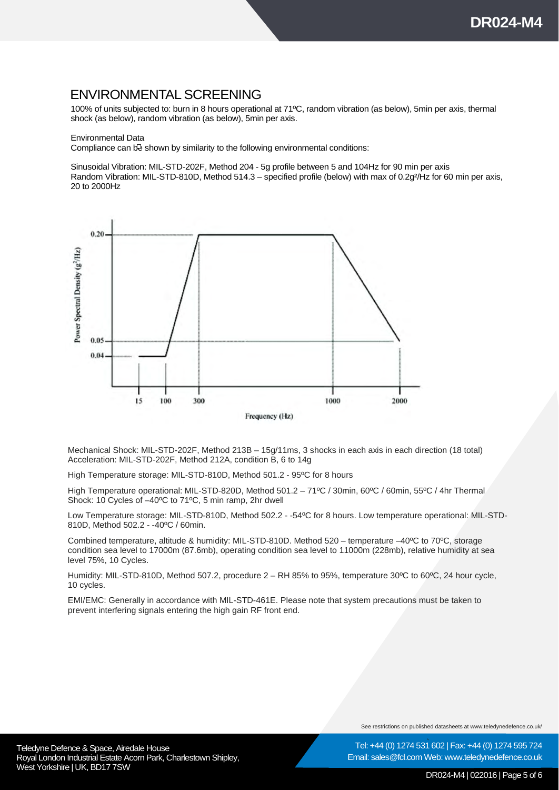### ENVIRONMENTAL SCREENING

100% of units subjected to: burn in 8 hours operational at 71ºC, random vibration (as below), 5min per axis, thermal shock (as below), random vibration (as below), 5min per axis.

#### Environmental Data

Compliance can be shown by similarity to the following environmental conditions:

Sinusoidal Vibration: MIL-STD-202F, Method 204 - 5g profile between 5 and 104Hz for 90 min per axis Random Vibration: MIL-STD-810D, Method 514.3 – specified profile (below) with max of 0.2g²/Hz for 60 min per axis, 20 to 2000Hz



Mechanical Shock: MIL-STD-202F, Method 213B – 15g/11ms, 3 shocks in each axis in each direction (18 total) Acceleration: MIL-STD-202F, Method 212A, condition B, 6 to 14g

High Temperature storage: MIL-STD-810D, Method 501.2 - 95ºC for 8 hours

High Temperature operational: MIL-STD-820D, Method 501.2 – 71ºC / 30min, 60ºC / 60min, 55ºC / 4hr Thermal Shock: 10 Cycles of –40ºC to 71ºC, 5 min ramp, 2hr dwell

Low Temperature storage: MIL-STD-810D, Method 502.2 - -54ºC for 8 hours. Low temperature operational: MIL-STD-810D, Method 502.2 - -40ºC / 60min.

Combined temperature, altitude & humidity: MIL-STD-810D. Method 520 – temperature –40ºC to 70ºC, storage condition sea level to 17000m (87.6mb), operating condition sea level to 11000m (228mb), relative humidity at sea level 75%, 10 Cycles.

Humidity: MIL-STD-810D, Method 507.2, procedure 2 – RH 85% to 95%, temperature 30ºC to 60ºC, 24 hour cycle, 10 cycles.

EMI/EMC: Generally in accordance with MIL-STD-461E. Please note that system precautions must be taken to prevent interfering signals entering the high gain RF front end.

See restrictions on published datasheets at www.teledynedefence.co.uk/

Teledyne Defence & Space, Airedale House and the state of the state of the Tel: +44 (0) 1274 531 Royal London Industrial Estate Acorn Park, Charlestown Shipley, West Yorkshire | UK, BD17 7SW

Tel: +44 (0) 1274 531 602 | Fax: +44 (0) 1274 595 724 Email: sales@fcl.com Web: www.teledynedefence.co.uk

#### DR024-M4 | 022016 | Page 5 of 6